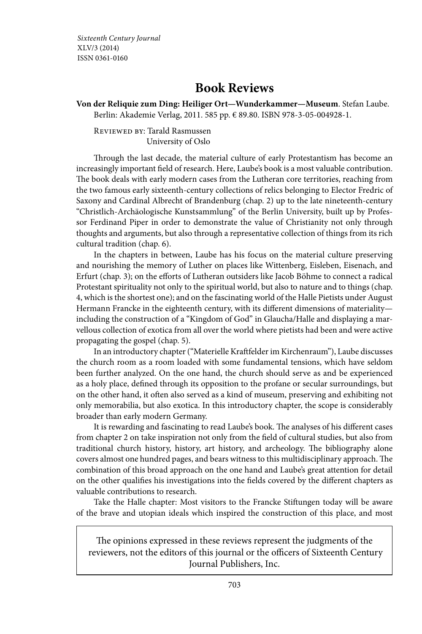Sixteenth Century Journal XLV/3 (2014) ISSN 0361-0160

## **Book Reviews**

**Von der Reliquie zum Ding: Heiliger Ort— Wunderkammer— Museum**. Stefan Laube. Berlin: Akademie Verlag, 2011. 585 pp. € 89.80. ISBN 978-3-05-004928-1.

Reviewed by: Tarald Rasmussen University of Oslo

Through the last decade, the material culture of early Protestantism has become an increasingly important field of research. Here, Laube's book is a most valuable contribution. The book deals with early modern cases from the Lutheran core territories, reaching from the two famous early sixteenth- century collections of relics belonging to Elector Fredric of Saxony and Cardinal Albrecht of Brandenburg (chap. 2) up to the late nineteenth- century "Christlich- Archäologische Kunstsammlung" of the Berlin University, built up by Professor Ferdinand Piper in order to demonstrate the value of Christianity not only through thoughts and arguments, but also through a representative collection of things from its rich cultural tradition (chap. 6).

In the chapters in between, Laube has his focus on the material culture preserving and nourishing the memory of Luther on places like Wittenberg, Eisleben, Eisenach, and Erfurt (chap. 3); on the efforts of Lutheran outsiders like Jacob Böhme to connect a radical Protestant spirituality not only to the spiritual world, but also to nature and to things (chap. 4, which is the shortest one); and on the fascinating world of the Halle Pietists under August Hermann Francke in the eighteenth century, with its different dimensions of materiality including the construction of a "Kingdom of God" in Glaucha/Halle and displaying a marvellous collection of exotica from all over the world where pietists had been and were active propagating the gospel (chap. 5).

In an introductory chapter ("Materielle Kraftfelder im Kirchenraum"), Laube discusses the church room as a room loaded with some fundamental tensions, which have seldom been further analyzed. On the one hand, the church should serve as and be experienced as a holy place, defined through its opposition to the profane or secular surroundings, but on the other hand, it often also served as a kind of museum, preserving and exhibiting not only memorabilia, but also exotica. In this introductory chapter, the scope is considerably broader than early modern Germany.

It is rewarding and fascinating to read Laube's book. The analyses of his different cases from chapter 2 on take inspiration not only from the field of cultural studies, but also from traditional church history, history, art history, and archeology. The bibliography alone covers almost one hundred pages, and bears witness to this multidisciplinary approach. The combination of this broad approach on the one hand and Laube's great attention for detail on the other qualifies his investigations into the fields covered by the different chapters as valuable contributions to research.

Take the Halle chapter: Most visitors to the Francke Stiftungen today will be aware of the brave and utopian ideals which inspired the construction of this place, and most

The opinions expressed in these reviews represent the judgments of the reviewers, not the editors of this journal or the officers of Sixteenth Century Journal Publishers, Inc.